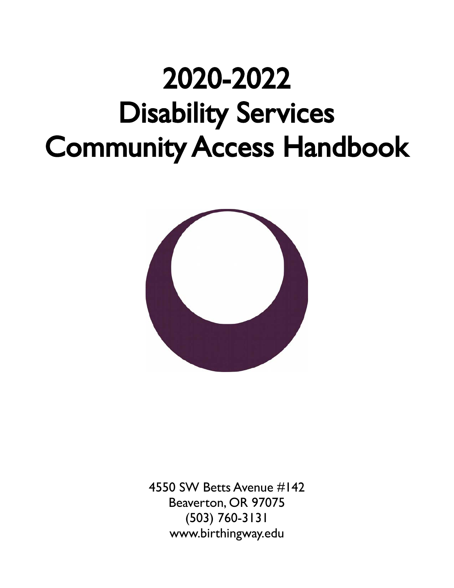# 2020-2022 **Disability Services Community Access Handbook**



4550 SW Betts Avenue #142 Beaverton, OR 97075  $(503) 760 - 3131$ www.birthingway.edu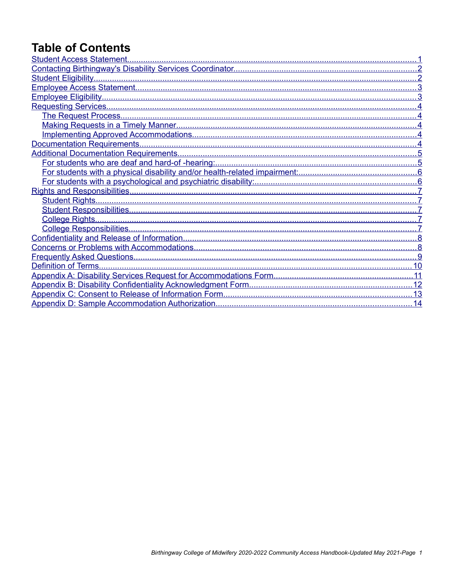# **Table of Contents**

| 14 |
|----|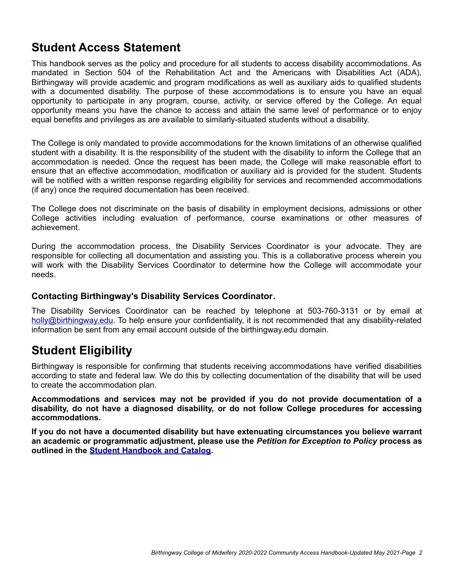### <span id="page-2-0"></span>**Student Access Statement**

This handbook serves as the policy and procedure for all students to access disability accommodations. As mandated in Section 504 of the Rehabilitation Act and the Americans with Disabilities Act (ADA), Birthingway will provide academic and program modifications as well as auxiliary aids to qualified students with a documented disability. The purpose of these accommodations is to ensure you have an equal opportunity to participate in any program, course, activity, or service offered by the College. An equal opportunity means you have the chance to access and attain the same level of performance or to enjoy equal benefits and privileges as are available to similarly-situated students without a disability.

The College is only mandated to provide accommodations for the known limitations of an otherwise qualified student with a disability. It is the responsibility of the student with the disability to inform the College that an accommodation is needed. Once the request has been made, the College will make reasonable effort to ensure that an effective accommodation, modification or auxiliary aid is provided for the student. Students will be notified with a written response regarding eligibility for services and recommended accommodations (if any) once the required documentation has been received.

The College does not discriminate on the basis of disability in employment decisions, admissions or other College activities including evaluation of performance, course examinations or other measures of achievement.

During the accommodation process, the Disability Services Coordinator is your advocate. They are responsible for collecting all documentation and assisting you. This is a collaborative process wherein you will work with the Disability Services Coordinator to determine how the College will accommodate your needs.

#### <span id="page-2-2"></span>**Contacting Birthingway's Disability Services Coordinator.**

The Disability Services Coordinator can be reached by telephone at 503-760-3131 or by email at [holly@birthingway.edu.](mailto:fac@birthingway.edu) To help ensure your confidentiality, it is not recommended that any disability-related information be sent from any email account outside of the birthingway.edu domain.

### <span id="page-2-1"></span>**Student Eligibility**

Birthingway is responsible for confirming that students receiving accommodations have verified disabilities according to state and federal law. We do this by collecting documentation of the disability that will be used to create the accommodation plan.

**Accommodations and services may not be provided if you do not provide documentation of a disability, do not have a diagnosed disability, or do not follow College procedures for accessing accommodations.**

**If you do not have a documented disability but have extenuating circumstances you believe warrant an academic or programmatic adjustment, please use the** *Petition for Exception to Policy* **process as outlined in the [Student Handbook and Catalog.](http://birthingway.edu/for-students/student-handbook-and-catalog/)**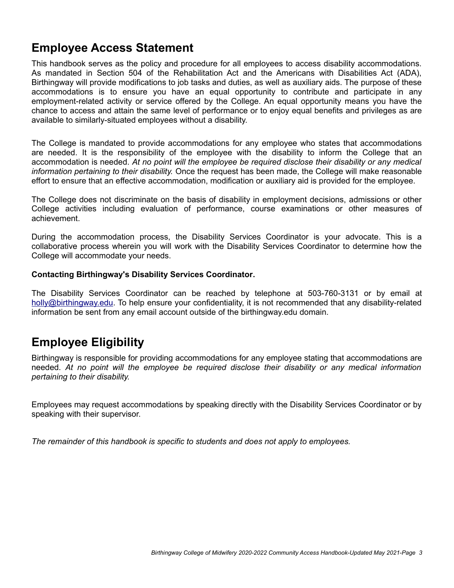### <span id="page-3-1"></span>**Employee Access Statement**

This handbook serves as the policy and procedure for all employees to access disability accommodations. As mandated in Section 504 of the Rehabilitation Act and the Americans with Disabilities Act (ADA), Birthingway will provide modifications to job tasks and duties, as well as auxiliary aids. The purpose of these accommodations is to ensure you have an equal opportunity to contribute and participate in any employment-related activity or service offered by the College. An equal opportunity means you have the chance to access and attain the same level of performance or to enjoy equal benefits and privileges as are available to similarly-situated employees without a disability.

The College is mandated to provide accommodations for any employee who states that accommodations are needed. It is the responsibility of the employee with the disability to inform the College that an accommodation is needed. *At no point will the employee be required disclose their disability or any medical information pertaining to their disability.* Once the request has been made, the College will make reasonable effort to ensure that an effective accommodation, modification or auxiliary aid is provided for the employee.

The College does not discriminate on the basis of disability in employment decisions, admissions or other College activities including evaluation of performance, course examinations or other measures of achievement.

During the accommodation process, the Disability Services Coordinator is your advocate. This is a collaborative process wherein you will work with the Disability Services Coordinator to determine how the College will accommodate your needs.

#### **Contacting Birthingway's Disability Services Coordinator.**

The Disability Services Coordinator can be reached by telephone at 503-760-3131 or by email at [holly@birthingway.edu.](mailto:fac@birthingway.edu) To help ensure your confidentiality, it is not recommended that any disability-related information be sent from any email account outside of the birthingway.edu domain.

### <span id="page-3-0"></span>**Employee Eligibility**

Birthingway is responsible for providing accommodations for any employee stating that accommodations are needed. *At no point will the employee be required disclose their disability or any medical information pertaining to their disability.*

Employees may request accommodations by speaking directly with the Disability Services Coordinator or by speaking with their supervisor.

*The remainder of this handbook is specific to students and does not apply to employees.*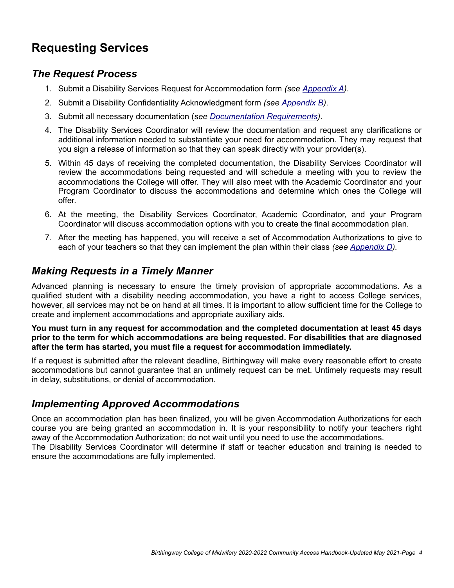# <span id="page-4-3"></span>**Requesting Services**

#### <span id="page-4-2"></span>*The Request Process*

- 1. Submit a Disability Services Request for Accommodation form *(see [Appendix A](#page-11-0))*.
- 2. Submit a Disability Confidentiality Acknowledgment form *(see [Appendix B](#page-12-0))*.
- 3. Submit all necessary documentation (*see [Documentation Requirements](#page-5-0))*.
- 4. The Disability Services Coordinator will review the documentation and request any clarifications or additional information needed to substantiate your need for accommodation. They may request that you sign a release of information so that they can speak directly with your provider(s).
- 5. Within 45 days of receiving the completed documentation, the Disability Services Coordinator will review the accommodations being requested and will schedule a meeting with you to review the accommodations the College will offer. They will also meet with the Academic Coordinator and your Program Coordinator to discuss the accommodations and determine which ones the College will offer.
- 6. At the meeting, the Disability Services Coordinator, Academic Coordinator, and your Program Coordinator will discuss accommodation options with you to create the final accommodation plan.
- 7. After the meeting has happened, you will receive a set of Accommodation Authorizations to give to each of your teachers so that they can implement the plan within their class *(see [Appendix D](#page-14-0)).*

#### <span id="page-4-1"></span>*Making Requests in a Timely Manner*

Advanced planning is necessary to ensure the timely provision of appropriate accommodations. As a qualified student with a disability needing accommodation, you have a right to access College services, however, all services may not be on hand at all times. It is important to allow sufficient time for the College to create and implement accommodations and appropriate auxiliary aids.

**You must turn in any request for accommodation and the completed documentation at least 45 days prior to the term for which accommodations are being requested. For disabilities that are diagnosed after the term has started, you must file a request for accommodation immediately.**

If a request is submitted after the relevant deadline, Birthingway will make every reasonable effort to create accommodations but cannot guarantee that an untimely request can be met. Untimely requests may result in delay, substitutions, or denial of accommodation.

#### <span id="page-4-0"></span>*Implementing Approved Accommodations*

Once an accommodation plan has been finalized, you will be given Accommodation Authorizations for each course you are being granted an accommodation in. It is your responsibility to notify your teachers right away of the Accommodation Authorization; do not wait until you need to use the accommodations. The Disability Services Coordinator will determine if staff or teacher education and training is needed to ensure the accommodations are fully implemented.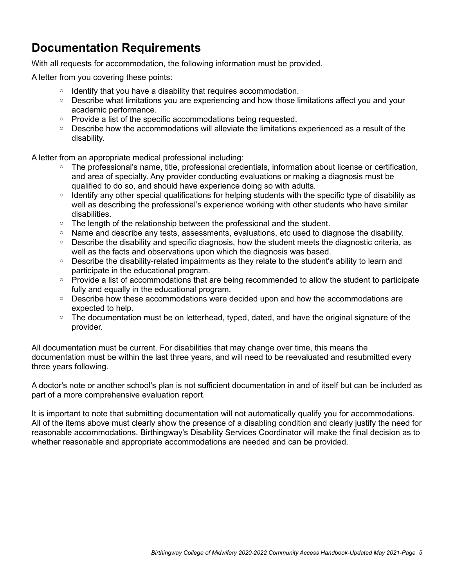# <span id="page-5-0"></span>**Documentation Requirements**

With all requests for accommodation, the following information must be provided.

A letter from you covering these points:

- Identify that you have a disability that requires accommodation.
- Describe what limitations you are experiencing and how those limitations affect you and your academic performance.
- Provide a list of the specific accommodations being requested.
- Describe how the accommodations will alleviate the limitations experienced as a result of the disability.

A letter from an appropriate medical professional including:

- The professional's name, title, professional credentials, information about license or certification, and area of specialty. Any provider conducting evaluations or making a diagnosis must be qualified to do so, and should have experience doing so with adults.
- Identify any other special qualifications for helping students with the specific type of disability as well as describing the professional's experience working with other students who have similar disabilities.
- The length of the relationship between the professional and the student.
- Name and describe any tests, assessments, evaluations, etc used to diagnose the disability.
- Describe the disability and specific diagnosis, how the student meets the diagnostic criteria, as well as the facts and observations upon which the diagnosis was based.
- Describe the disability-related impairments as they relate to the student's ability to learn and participate in the educational program.
- Provide a list of accommodations that are being recommended to allow the student to participate fully and equally in the educational program.
- Describe how these accommodations were decided upon and how the accommodations are expected to help.
- The documentation must be on letterhead, typed, dated, and have the original signature of the provider.

All documentation must be current. For disabilities that may change over time, this means the documentation must be within the last three years, and will need to be reevaluated and resubmitted every three years following.

A doctor's note or another school's plan is not sufficient documentation in and of itself but can be included as part of a more comprehensive evaluation report.

It is important to note that submitting documentation will not automatically qualify you for accommodations. All of the items above must clearly show the presence of a disabling condition and clearly justify the need for reasonable accommodations. Birthingway's Disability Services Coordinator will make the final decision as to whether reasonable and appropriate accommodations are needed and can be provided.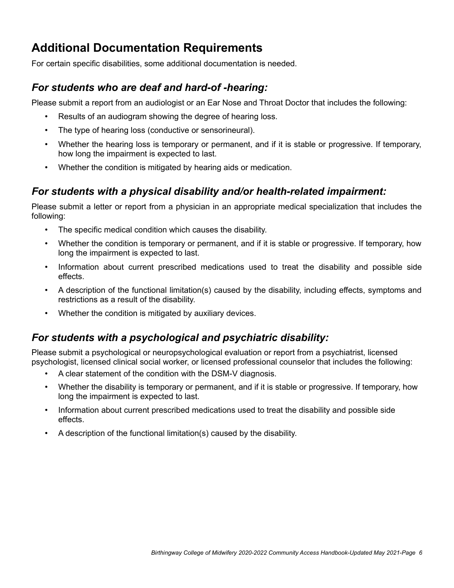# <span id="page-6-3"></span>**Additional Documentation Requirements**

For certain specific disabilities, some additional documentation is needed.

#### <span id="page-6-2"></span>*For students who are deaf and hard-of -hearing:*

Please submit a report from an audiologist or an Ear Nose and Throat Doctor that includes the following:

- Results of an audiogram showing the degree of hearing loss.
- The type of hearing loss (conductive or sensorineural).
- Whether the hearing loss is temporary or permanent, and if it is stable or progressive. If temporary, how long the impairment is expected to last.
- Whether the condition is mitigated by hearing aids or medication.

### <span id="page-6-1"></span>*For students with a physical disability and/or health-related impairment:*

Please submit a letter or report from a physician in an appropriate medical specialization that includes the following:

- The specific medical condition which causes the disability.
- Whether the condition is temporary or permanent, and if it is stable or progressive. If temporary, how long the impairment is expected to last.
- Information about current prescribed medications used to treat the disability and possible side effects.
- A description of the functional limitation(s) caused by the disability, including effects, symptoms and restrictions as a result of the disability.
- Whether the condition is mitigated by auxiliary devices.

### <span id="page-6-0"></span>*For students with a psychological and psychiatric disability:*

Please submit a psychological or neuropsychological evaluation or report from a psychiatrist, licensed psychologist, licensed clinical social worker, or licensed professional counselor that includes the following:

- A clear statement of the condition with the DSM-V diagnosis.
- Whether the disability is temporary or permanent, and if it is stable or progressive. If temporary, how long the impairment is expected to last.
- Information about current prescribed medications used to treat the disability and possible side effects.
- A description of the functional limitation(s) caused by the disability.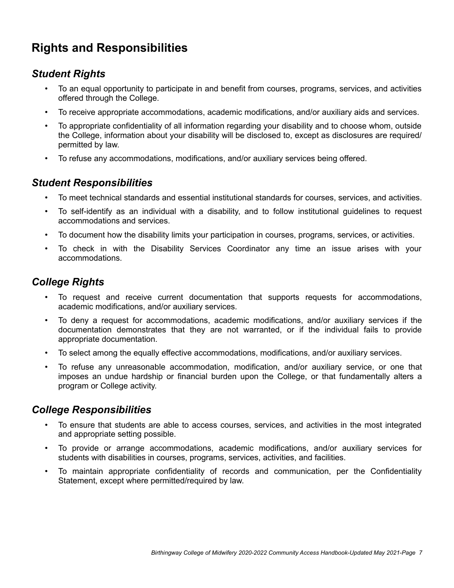# <span id="page-7-4"></span>**Rights and Responsibilities**

### <span id="page-7-3"></span>*Student Rights*

- To an equal opportunity to participate in and benefit from courses, programs, services, and activities offered through the College.
- To receive appropriate accommodations, academic modifications, and/or auxiliary aids and services.
- To appropriate confidentiality of all information regarding your disability and to choose whom, outside the College, information about your disability will be disclosed to, except as disclosures are required/ permitted by law.
- To refuse any accommodations, modifications, and/or auxiliary services being offered.

#### <span id="page-7-2"></span>*Student Responsibilities*

- To meet technical standards and essential institutional standards for courses, services, and activities.
- To self-identify as an individual with a disability, and to follow institutional guidelines to request accommodations and services.
- To document how the disability limits your participation in courses, programs, services, or activities.
- To check in with the Disability Services Coordinator any time an issue arises with your accommodations.

#### <span id="page-7-1"></span>*College Rights*

- To request and receive current documentation that supports requests for accommodations, academic modifications, and/or auxiliary services.
- To deny a request for accommodations, academic modifications, and/or auxiliary services if the documentation demonstrates that they are not warranted, or if the individual fails to provide appropriate documentation.
- To select among the equally effective accommodations, modifications, and/or auxiliary services.
- To refuse any unreasonable accommodation, modification, and/or auxiliary service, or one that imposes an undue hardship or financial burden upon the College, or that fundamentally alters a program or College activity.

#### <span id="page-7-0"></span>*College Responsibilities*

- To ensure that students are able to access courses, services, and activities in the most integrated and appropriate setting possible.
- To provide or arrange accommodations, academic modifications, and/or auxiliary services for students with disabilities in courses, programs, services, activities, and facilities.
- To maintain appropriate confidentiality of records and communication, per the Confidentiality Statement, except where permitted/required by law.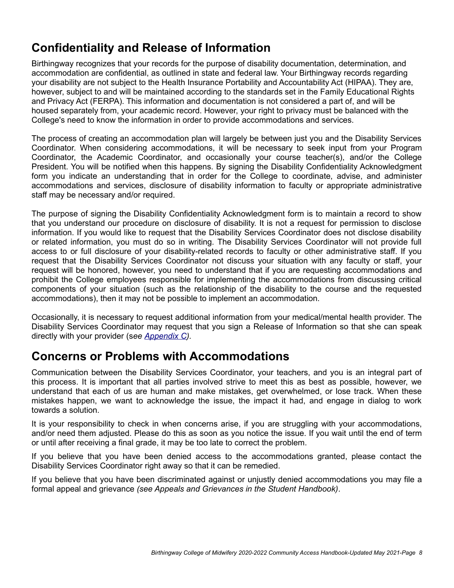# <span id="page-8-1"></span>**Confidentiality and Release of Information**

Birthingway recognizes that your records for the purpose of disability documentation, determination, and accommodation are confidential, as outlined in state and federal law. Your Birthingway records regarding your disability are not subject to the Health Insurance Portability and Accountability Act (HIPAA). They are, however, subject to and will be maintained according to the standards set in the Family Educational Rights and Privacy Act (FERPA). This information and documentation is not considered a part of, and will be housed separately from, your academic record. However, your right to privacy must be balanced with the College's need to know the information in order to provide accommodations and services.

The process of creating an accommodation plan will largely be between just you and the Disability Services Coordinator. When considering accommodations, it will be necessary to seek input from your Program Coordinator, the Academic Coordinator, and occasionally your course teacher(s), and/or the College President. You will be notified when this happens. By signing the Disability Confidentiality Acknowledgment form you indicate an understanding that in order for the College to coordinate, advise, and administer accommodations and services, disclosure of disability information to faculty or appropriate administrative staff may be necessary and/or required.

The purpose of signing the Disability Confidentiality Acknowledgment form is to maintain a record to show that you understand our procedure on disclosure of disability. It is not a request for permission to disclose information. If you would like to request that the Disability Services Coordinator does not disclose disability or related information, you must do so in writing. The Disability Services Coordinator will not provide full access to or full disclosure of your disability-related records to faculty or other administrative staff. If you request that the Disability Services Coordinator not discuss your situation with any faculty or staff, your request will be honored, however, you need to understand that if you are requesting accommodations and prohibit the College employees responsible for implementing the accommodations from discussing critical components of your situation (such as the relationship of the disability to the course and the requested accommodations), then it may not be possible to implement an accommodation.

Occasionally, it is necessary to request additional information from your medical/mental health provider. The Disability Services Coordinator may request that you sign a Release of Information so that she can speak directly with your provider (s*ee [Appendix C\)](#page-13-0).*

### <span id="page-8-0"></span>**Concerns or Problems with Accommodations**

Communication between the Disability Services Coordinator, your teachers, and you is an integral part of this process. It is important that all parties involved strive to meet this as best as possible, however, we understand that each of us are human and make mistakes, get overwhelmed, or lose track. When these mistakes happen, we want to acknowledge the issue, the impact it had, and engage in dialog to work towards a solution.

It is your responsibility to check in when concerns arise, if you are struggling with your accommodations, and/or need them adjusted. Please do this as soon as you notice the issue. If you wait until the end of term or until after receiving a final grade, it may be too late to correct the problem.

If you believe that you have been denied access to the accommodations granted, please contact the Disability Services Coordinator right away so that it can be remedied.

If you believe that you have been discriminated against or unjustly denied accommodations you may file a formal appeal and grievance *(see Appeals and Grievances in the Student Handbook)*.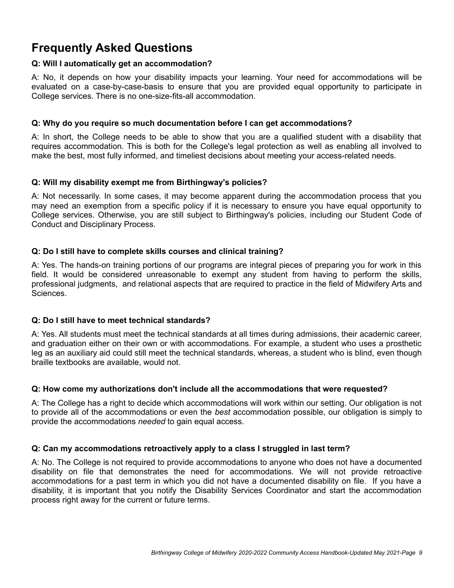# <span id="page-9-0"></span>**Frequently Asked Questions**

#### **Q: Will I automatically get an accommodation?**

A: No, it depends on how your disability impacts your learning. Your need for accommodations will be evaluated on a case-by-case-basis to ensure that you are provided equal opportunity to participate in College services. There is no one-size-fits-all accommodation.

#### **Q: Why do you require so much documentation before I can get accommodations?**

A: In short, the College needs to be able to show that you are a qualified student with a disability that requires accommodation. This is both for the College's legal protection as well as enabling all involved to make the best, most fully informed, and timeliest decisions about meeting your access-related needs.

#### **Q: Will my disability exempt me from Birthingway's policies?**

A: Not necessarily. In some cases, it may become apparent during the accommodation process that you may need an exemption from a specific policy if it is necessary to ensure you have equal opportunity to College services. Otherwise, you are still subject to Birthingway's policies, including our Student Code of Conduct and Disciplinary Process.

#### **Q: Do I still have to complete skills courses and clinical training?**

A: Yes. The hands-on training portions of our programs are integral pieces of preparing you for work in this field. It would be considered unreasonable to exempt any student from having to perform the skills, professional judgments, and relational aspects that are required to practice in the field of Midwifery Arts and Sciences.

#### **Q: Do I still have to meet technical standards?**

A: Yes. All students must meet the technical standards at all times during admissions, their academic career, and graduation either on their own or with accommodations. For example, a student who uses a prosthetic leg as an auxiliary aid could still meet the technical standards, whereas, a student who is blind, even though braille textbooks are available, would not.

#### **Q: How come my authorizations don't include all the accommodations that were requested?**

A: The College has a right to decide which accommodations will work within our setting. Our obligation is not to provide all of the accommodations or even the *best* accommodation possible, our obligation is simply to provide the accommodations *needed* to gain equal access.

#### **Q: Can my accommodations retroactively apply to a class I struggled in last term?**

A: No. The College is not required to provide accommodations to anyone who does not have a documented disability on file that demonstrates the need for accommodations. We will not provide retroactive accommodations for a past term in which you did not have a documented disability on file. If you have a disability, it is important that you notify the Disability Services Coordinator and start the accommodation process right away for the current or future terms.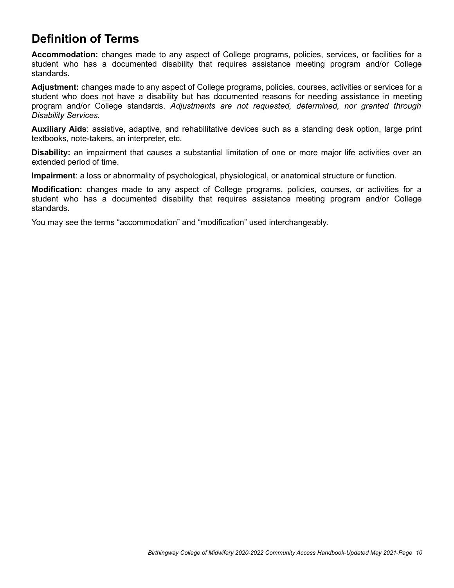## <span id="page-10-0"></span>**Definition of Terms**

**Accommodation:** changes made to any aspect of College programs, policies, services, or facilities for a student who has a documented disability that requires assistance meeting program and/or College standards.

**Adjustment:** changes made to any aspect of College programs, policies, courses, activities or services for a student who does not have a disability but has documented reasons for needing assistance in meeting program and/or College standards. *Adjustments are not requested, determined, nor granted through Disability Services.*

**Auxiliary Aids**: assistive, adaptive, and rehabilitative devices such as a standing desk option, large print textbooks, note-takers, an interpreter, etc.

**Disability:** an impairment that causes a substantial limitation of one or more major life activities over an extended period of time.

**Impairment**: a loss or abnormality of psychological, physiological, or anatomical structure or function.

**Modification:** changes made to any aspect of College programs, policies, courses, or activities for a student who has a documented disability that requires assistance meeting program and/or College standards.

You may see the terms "accommodation" and "modification" used interchangeably.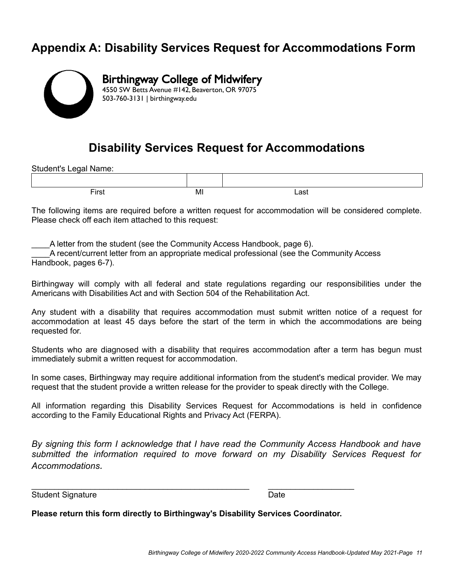### <span id="page-11-0"></span>**Appendix A: Disability Services Request for Accommodations Form**



Birthingway College of Midwifery

4550 SW Betts Avenue #142, Beaverton, OR 97075 503-760-3131 | birthingway.edu

### **Disability Services Request for Accommodations**

Student's Legal Name: First MI Last

The following items are required before a written request for accommodation will be considered complete. Please check off each item attached to this request:

\_\_\_\_A letter from the student (see the Community Access Handbook, page 6).

\_\_\_\_A recent/current letter from an appropriate medical professional (see the Community Access Handbook, pages 6-7).

Birthingway will comply with all federal and state regulations regarding our responsibilities under the Americans with Disabilities Act and with Section 504 of the Rehabilitation Act.

Any student with a disability that requires accommodation must submit written notice of a request for accommodation at least 45 days before the start of the term in which the accommodations are being requested for.

Students who are diagnosed with a disability that requires accommodation after a term has begun must immediately submit a written request for accommodation.

In some cases, Birthingway may require additional information from the student's medical provider. We may request that the student provide a written release for the provider to speak directly with the College.

All information regarding this Disability Services Request for Accommodations is held in confidence according to the Family Educational Rights and Privacy Act (FERPA).

*By signing this form I acknowledge that I have read the Community Access Handbook and have submitted the information required to move forward on my Disability Services Request for Accommodations.* 

Student Signature Date Date

**Please return this form directly to Birthingway's Disability Services Coordinator.**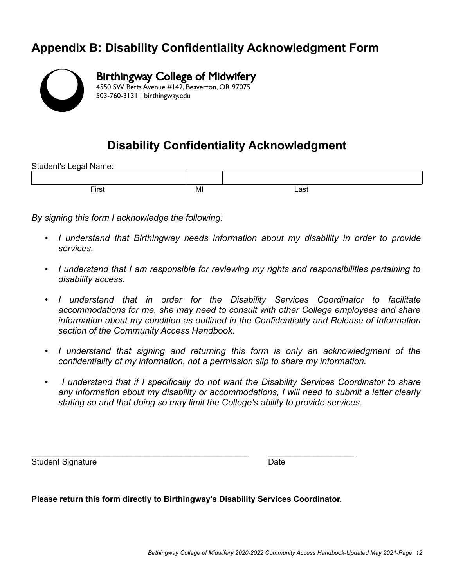# <span id="page-12-0"></span>**Appendix B: Disability Confidentiality Acknowledgment Form**



Birthingway College of Midwifery 4550 SW Betts Avenue #142, Beaverton, OR 97075

503-760-3131 | birthingway.edu

# **Disability Confidentiality Acknowledgment**

| <b>Student's Legal Name:</b> |    |      |
|------------------------------|----|------|
|                              |    |      |
| Fix                          | MI | ∟ast |

*By signing this form I acknowledge the following:*

- *I understand that Birthingway needs information about my disability in order to provide services.*
- *I understand that I am responsible for reviewing my rights and responsibilities pertaining to disability access.*
- *I understand that in order for the Disability Services Coordinator to facilitate accommodations for me, she may need to consult with other College employees and share information about my condition as outlined in the Confidentiality and Release of Information section of the Community Access Handbook.*
- *I understand that signing and returning this form is only an acknowledgment of the confidentiality of my information, not a permission slip to share my information.*
- • *I understand that if I specifically do not want the Disability Services Coordinator to share any information about my disability or accommodations, I will need to submit a letter clearly stating so and that doing so may limit the College's ability to provide services.*

\_\_\_\_\_\_\_\_\_\_\_\_\_\_\_\_\_\_\_\_\_\_\_\_\_\_\_\_\_\_\_\_\_\_\_\_\_\_\_\_\_\_\_\_\_\_\_\_ \_\_\_\_\_\_\_\_\_\_\_\_\_\_\_\_\_\_\_ Student Signature Date

**Please return this form directly to Birthingway's Disability Services Coordinator.**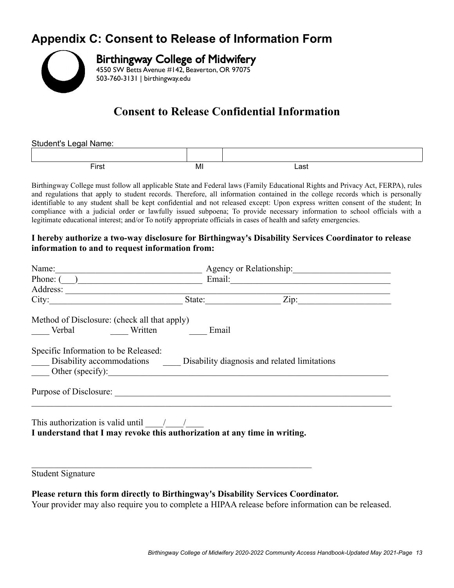# <span id="page-13-0"></span>**Appendix C: Consent to Release of Information Form**



Birthingway College of Midwifery

4550 SW Betts Avenue #142, Beaverton, OR 97075 503-760-3131 | birthingway.edu

# **Consent to Release Confidential Information**

| <b>Student's Legal Name:</b> |    |      |
|------------------------------|----|------|
|                              |    |      |
| ⊑irst                        | MI | .ast |

Birthingway College must follow all applicable State and Federal laws (Family Educational Rights and Privacy Act, FERPA), rules and regulations that apply to student records. Therefore, all information contained in the college records which is personally identifiable to any student shall be kept confidential and not released except: Upon express written consent of the student; In compliance with a judicial order or lawfully issued subpoena; To provide necessary information to school officials with a legitimate educational interest; and/or To notify appropriate officials in cases of health and safety emergencies.

#### **I hereby authorize a two-way disclosure for Birthingway's Disability Services Coordinator to release information to and to request information from:**

| Name:                    | Agency or Relationship:<br><u> 1989 - Johann Barn, mars ann an t-Amhain an t-Amhain an t-Amhain an t-Amhain an t-Amhain an t-Amhain an t-Amh</u> |       |                                                                                            |  |
|--------------------------|--------------------------------------------------------------------------------------------------------------------------------------------------|-------|--------------------------------------------------------------------------------------------|--|
|                          | Phone: $($ )                                                                                                                                     |       |                                                                                            |  |
|                          |                                                                                                                                                  |       |                                                                                            |  |
|                          | City:                                                                                                                                            |       | State: Zip: Zip:                                                                           |  |
|                          | Method of Disclosure: (check all that apply)                                                                                                     |       |                                                                                            |  |
| Verbal                   | Written                                                                                                                                          | Email |                                                                                            |  |
|                          | Specific Information to be Released:                                                                                                             |       |                                                                                            |  |
|                          |                                                                                                                                                  |       | Disability accommodations Disability diagnosis and related limitations<br>Other (specify): |  |
|                          |                                                                                                                                                  |       | Purpose of Disclosure:                                                                     |  |
|                          | This authorization is valid until $\frac{1}{2}$ /                                                                                                |       |                                                                                            |  |
|                          | I understand that I may revoke this authorization at any time in writing.                                                                        |       |                                                                                            |  |
|                          |                                                                                                                                                  |       |                                                                                            |  |
| <b>Student Signature</b> |                                                                                                                                                  |       |                                                                                            |  |
|                          |                                                                                                                                                  |       |                                                                                            |  |

**Please return this form directly to Birthingway's Disability Services Coordinator.**

Your provider may also require you to complete a HIPAA release before information can be released.